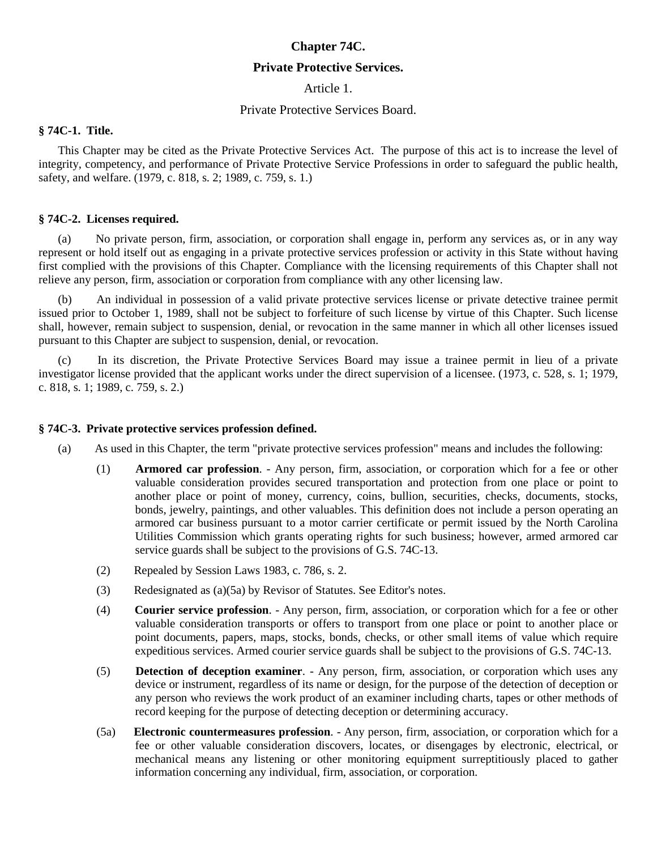# **Chapter 74C.**

## **Private Protective Services.**

Article 1.

### Private Protective Services Board.

## **§ 74C-1. Title.**

This Chapter may be cited as the Private Protective Services Act. The purpose of this act is to increase the level of integrity, competency, and performance of Private Protective Service Professions in order to safeguard the public health, safety, and welfare. (1979, c. 818, s. 2; 1989, c. 759, s. 1.)

#### **§ 74C-2. Licenses required.**

(a) No private person, firm, association, or corporation shall engage in, perform any services as, or in any way represent or hold itself out as engaging in a private protective services profession or activity in this State without having first complied with the provisions of this Chapter. Compliance with the licensing requirements of this Chapter shall not relieve any person, firm, association or corporation from compliance with any other licensing law.

(b) An individual in possession of a valid private protective services license or private detective trainee permit issued prior to October 1, 1989, shall not be subject to forfeiture of such license by virtue of this Chapter. Such license shall, however, remain subject to suspension, denial, or revocation in the same manner in which all other licenses issued pursuant to this Chapter are subject to suspension, denial, or revocation.

(c) In its discretion, the Private Protective Services Board may issue a trainee permit in lieu of a private investigator license provided that the applicant works under the direct supervision of a licensee. (1973, c. 528, s. 1; 1979, c. 818, s. 1; 1989, c. 759, s. 2.)

#### **§ 74C-3. Private protective services profession defined.**

- (a) As used in this Chapter, the term "private protective services profession" means and includes the following:
	- (1) **Armored car profession**. Any person, firm, association, or corporation which for a fee or other valuable consideration provides secured transportation and protection from one place or point to another place or point of money, currency, coins, bullion, securities, checks, documents, stocks, bonds, jewelry, paintings, and other valuables. This definition does not include a person operating an armored car business pursuant to a motor carrier certificate or permit issued by the North Carolina Utilities Commission which grants operating rights for such business; however, armed armored car service guards shall be subject to the provisions of G.S. 74C-13.
	- (2) Repealed by Session Laws 1983, c. 786, s. 2.
	- (3) Redesignated as (a)(5a) by Revisor of Statutes. See Editor's notes.
	- (4) **Courier service profession**. Any person, firm, association, or corporation which for a fee or other valuable consideration transports or offers to transport from one place or point to another place or point documents, papers, maps, stocks, bonds, checks, or other small items of value which require expeditious services. Armed courier service guards shall be subject to the provisions of G.S. 74C-13.
	- (5) **Detection of deception examiner**. Any person, firm, association, or corporation which uses any device or instrument, regardless of its name or design, for the purpose of the detection of deception or any person who reviews the work product of an examiner including charts, tapes or other methods of record keeping for the purpose of detecting deception or determining accuracy.
	- (5a) **Electronic countermeasures profession**. Any person, firm, association, or corporation which for a fee or other valuable consideration discovers, locates, or disengages by electronic, electrical, or mechanical means any listening or other monitoring equipment surreptitiously placed to gather information concerning any individual, firm, association, or corporation.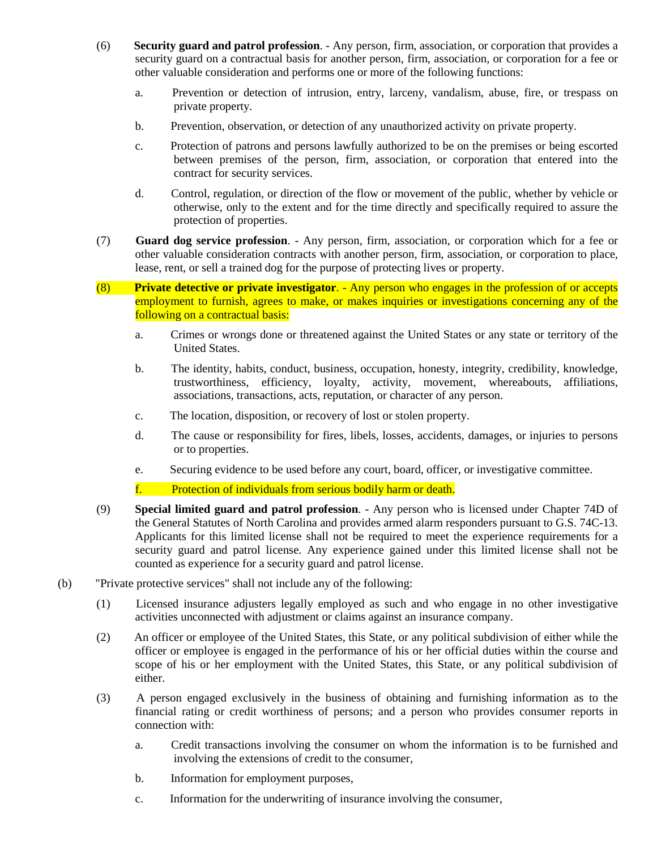- (6) **Security guard and patrol profession**. Any person, firm, association, or corporation that provides a security guard on a contractual basis for another person, firm, association, or corporation for a fee or other valuable consideration and performs one or more of the following functions:
	- a. Prevention or detection of intrusion, entry, larceny, vandalism, abuse, fire, or trespass on private property.
	- b. Prevention, observation, or detection of any unauthorized activity on private property.
	- c. Protection of patrons and persons lawfully authorized to be on the premises or being escorted between premises of the person, firm, association, or corporation that entered into the contract for security services.
	- d. Control, regulation, or direction of the flow or movement of the public, whether by vehicle or otherwise, only to the extent and for the time directly and specifically required to assure the protection of properties.
- (7) **Guard dog service profession**. Any person, firm, association, or corporation which for a fee or other valuable consideration contracts with another person, firm, association, or corporation to place, lease, rent, or sell a trained dog for the purpose of protecting lives or property.
- (8) **Private detective or private investigator**. Any person who engages in the profession of or accepts employment to furnish, agrees to make, or makes inquiries or investigations concerning any of the following on a contractual basis:
	- a. Crimes or wrongs done or threatened against the United States or any state or territory of the United States.
	- b. The identity, habits, conduct, business, occupation, honesty, integrity, credibility, knowledge, trustworthiness, efficiency, loyalty, activity, movement, whereabouts, affiliations, associations, transactions, acts, reputation, or character of any person.
	- c. The location, disposition, or recovery of lost or stolen property.
	- d. The cause or responsibility for fires, libels, losses, accidents, damages, or injuries to persons or to properties.
	- e. Securing evidence to be used before any court, board, officer, or investigative committee.
	- f. Protection of individuals from serious bodily harm or death.
- (9) **Special limited guard and patrol profession**. Any person who is licensed under Chapter 74D of the General Statutes of North Carolina and provides armed alarm responders pursuant to G.S. 74C-13. Applicants for this limited license shall not be required to meet the experience requirements for a security guard and patrol license. Any experience gained under this limited license shall not be counted as experience for a security guard and patrol license.
- (b) "Private protective services" shall not include any of the following:
	- (1) Licensed insurance adjusters legally employed as such and who engage in no other investigative activities unconnected with adjustment or claims against an insurance company.
	- (2) An officer or employee of the United States, this State, or any political subdivision of either while the officer or employee is engaged in the performance of his or her official duties within the course and scope of his or her employment with the United States, this State, or any political subdivision of either.
	- (3) A person engaged exclusively in the business of obtaining and furnishing information as to the financial rating or credit worthiness of persons; and a person who provides consumer reports in connection with:
		- a. Credit transactions involving the consumer on whom the information is to be furnished and involving the extensions of credit to the consumer,
		- b. Information for employment purposes,
		- c. Information for the underwriting of insurance involving the consumer,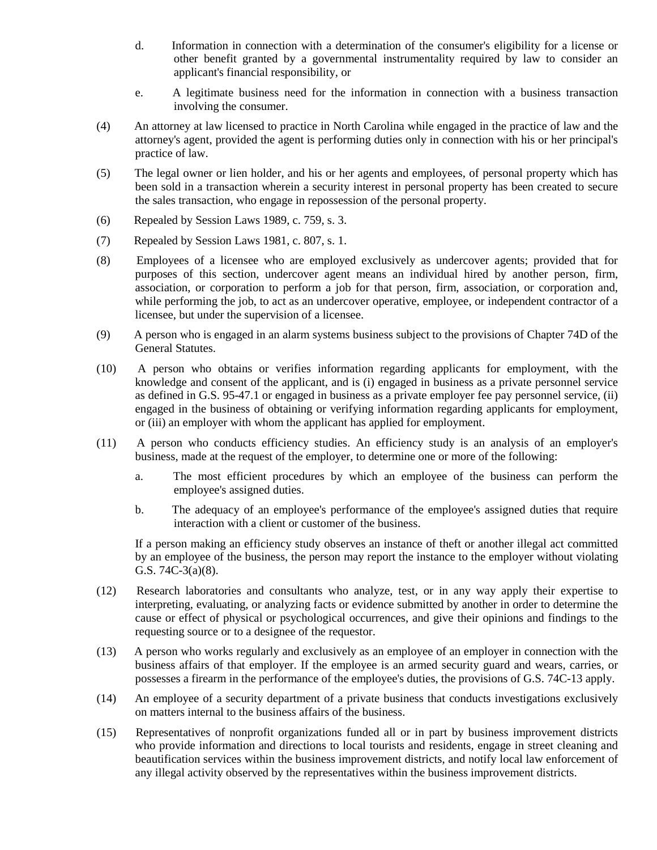- d. Information in connection with a determination of the consumer's eligibility for a license or other benefit granted by a governmental instrumentality required by law to consider an applicant's financial responsibility, or
- e. A legitimate business need for the information in connection with a business transaction involving the consumer.
- (4) An attorney at law licensed to practice in North Carolina while engaged in the practice of law and the attorney's agent, provided the agent is performing duties only in connection with his or her principal's practice of law.
- (5) The legal owner or lien holder, and his or her agents and employees, of personal property which has been sold in a transaction wherein a security interest in personal property has been created to secure the sales transaction, who engage in repossession of the personal property.
- (6) Repealed by Session Laws 1989, c. 759, s. 3.
- (7) Repealed by Session Laws 1981, c. 807, s. 1.
- (8) Employees of a licensee who are employed exclusively as undercover agents; provided that for purposes of this section, undercover agent means an individual hired by another person, firm, association, or corporation to perform a job for that person, firm, association, or corporation and, while performing the job, to act as an undercover operative, employee, or independent contractor of a licensee, but under the supervision of a licensee.
- (9) A person who is engaged in an alarm systems business subject to the provisions of Chapter 74D of the General Statutes.
- (10) A person who obtains or verifies information regarding applicants for employment, with the knowledge and consent of the applicant, and is (i) engaged in business as a private personnel service as defined in G.S. 95-47.1 or engaged in business as a private employer fee pay personnel service, (ii) engaged in the business of obtaining or verifying information regarding applicants for employment, or (iii) an employer with whom the applicant has applied for employment.
- (11) A person who conducts efficiency studies. An efficiency study is an analysis of an employer's business, made at the request of the employer, to determine one or more of the following:
	- a. The most efficient procedures by which an employee of the business can perform the employee's assigned duties.
	- b. The adequacy of an employee's performance of the employee's assigned duties that require interaction with a client or customer of the business.

If a person making an efficiency study observes an instance of theft or another illegal act committed by an employee of the business, the person may report the instance to the employer without violating G.S. 74C-3(a)(8).

- (12) Research laboratories and consultants who analyze, test, or in any way apply their expertise to interpreting, evaluating, or analyzing facts or evidence submitted by another in order to determine the cause or effect of physical or psychological occurrences, and give their opinions and findings to the requesting source or to a designee of the requestor.
- (13) A person who works regularly and exclusively as an employee of an employer in connection with the business affairs of that employer. If the employee is an armed security guard and wears, carries, or possesses a firearm in the performance of the employee's duties, the provisions of G.S. 74C-13 apply.
- (14) An employee of a security department of a private business that conducts investigations exclusively on matters internal to the business affairs of the business.
- (15) Representatives of nonprofit organizations funded all or in part by business improvement districts who provide information and directions to local tourists and residents, engage in street cleaning and beautification services within the business improvement districts, and notify local law enforcement of any illegal activity observed by the representatives within the business improvement districts.